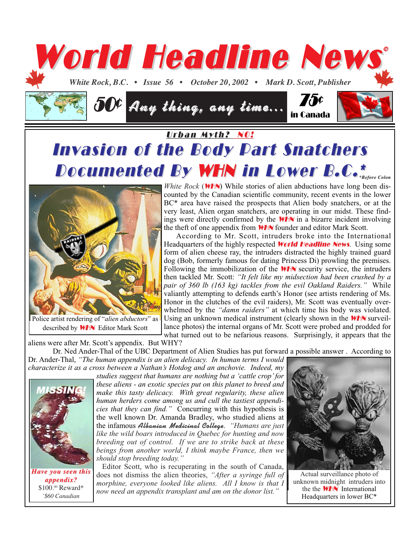

## Urban Myth? NO! **Invasion of the Body Part Snatchers Documented By WHN in Lower B.C.\***



described by WHN Editor Mark Scott

*White Rock* (**WHN**) While stories of alien abductions have long been discounted by the Canadian scientific community, recent events in the lower BC<sup>\*</sup> area have raised the prospects that Alien body snatchers, or at the very least, Alien organ snatchers, are operating in our midst. These findings were directly confirmed by the WHN in a bizarre incident involving the theft of one appendix from **WHN** founder and editor Mark Scott.

According to Mr. Scott, intruders broke into the International Headquarters of the highly respected **World Headline News**. Using some form of alien cheese ray, the intruders distracted the highly trained guard dog (Bob, formerly famous for dating Princess Di) prowling the premises. Following the immobilization of the **WHN** security service, the intruders then tackled Mr. Scott: *"It felt like my midsection had been crushed by a pair of 360 lb (163 kg) tackles from the evil Oakland Raiders."* While valiantly attempting to defends earth's Honor (see artists rendering of Ms. Honor in the clutches of the evil raiders), Mr. Scott was eventually overwhelmed by the *"damn raiders"* at which time his body was violated. Using an unknown medical instrument (clearly shown in the **WHN** surveillance photos) the internal organs of Mr. Scott were probed and prodded for what turned out to be nefarious reasons. Surprisingly, it appears that the

aliens were after Mr. Scott's appendix. But WHY?

Dr. Ned Ander-Thal of the UBC Department of Alien Studies has put forward a possible answer . According to Dr. Ander-Thal, *"The human appendix is an alien delicacy. In human terms I would*

*characterize it as a cross between a Nathan's Hotdog and an anchovie. Indeed, my*



*Have you seen this Have you seen this appendix? appendix?* \$100.00 Reward\* *\* \$60 Canadian*

*studies suggest that humans are nothing but a 'cattle crop' for these aliens - an exotic species put on this planet to breed and make this tasty delicacy. With great regularity, these alien human herders come among us and cull the tastiest appendicies that they can find."* Concurring with this hypothesis is the well known Dr. Amanda Bradley, who studied aliens at **the infamous Albanian Medicinal College.** "Humans are just *like the wild boars introduced in Quebec for hunting and now breeding out of control. If we are to strike back at these beings from another world, I think maybe France, then we should stop breeding today."* 

Editor Scott, who is recuperating in the south of Canada, does not dismiss the alien theories, *"After a syringe full of morphine, everyone looked like aliens. All I know is that I now need an appendix transplant and am on the donor list."* 



Actual surveillance photo of unknown midnight intruders into the the **WHN** International Headquarters in lower BC\*